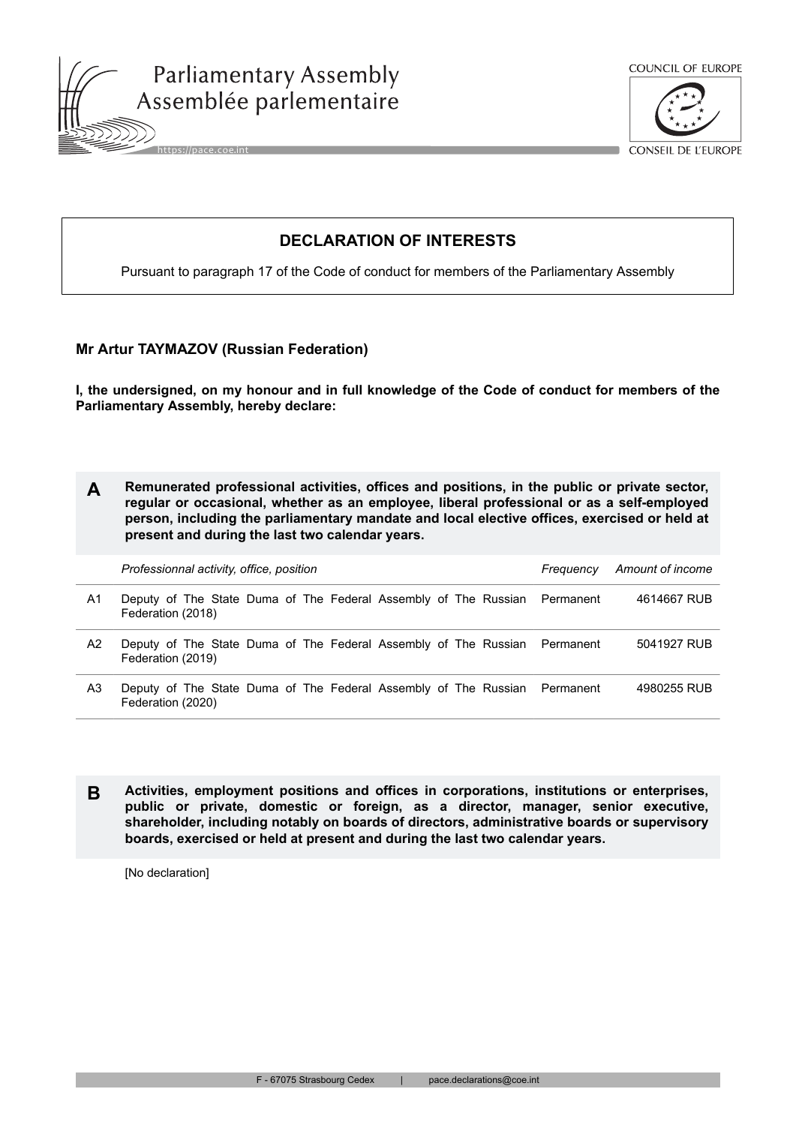





CONSEIL DE L'EUROPE

## **DECLARATION OF INTERESTS**

Pursuant to paragraph 17 of the Code of conduct for members of the Parliamentary Assembly

## **Mr Artur TAYMAZOV (Russian Federation)**

**I, the undersigned, on my honour and in full knowledge of the Code of conduct for members of the Parliamentary Assembly, hereby declare:**

| Remunerated professional activities, offices and positions, in the public or private sector, |
|----------------------------------------------------------------------------------------------|
| regular or occasional, whether as an employee, liberal professional or as a self-employed    |
| person, including the parliamentary mandate and local elective offices, exercised or held at |
| present and during the last two calendar years.                                              |

|    | Professionnal activity, office, position |                                                                           | Amount of income<br>Frequency |
|----|------------------------------------------|---------------------------------------------------------------------------|-------------------------------|
| A1 | Federation (2018)                        | Deputy of The State Duma of The Federal Assembly of The Russian Permanent | 4614667 RUB                   |
| A2 | Federation (2019)                        | Deputy of The State Duma of The Federal Assembly of The Russian Permanent | 5041927 RUB                   |
| A3 | Federation (2020)                        | Deputy of The State Duma of The Federal Assembly of The Russian Permanent | 4980255 RUB                   |

**B Activities, employment positions and offices in corporations, institutions or enterprises, public or private, domestic or foreign, as a director, manager, senior executive, shareholder, including notably on boards of directors, administrative boards or supervisory boards, exercised or held at present and during the last two calendar years.**

[No declaration]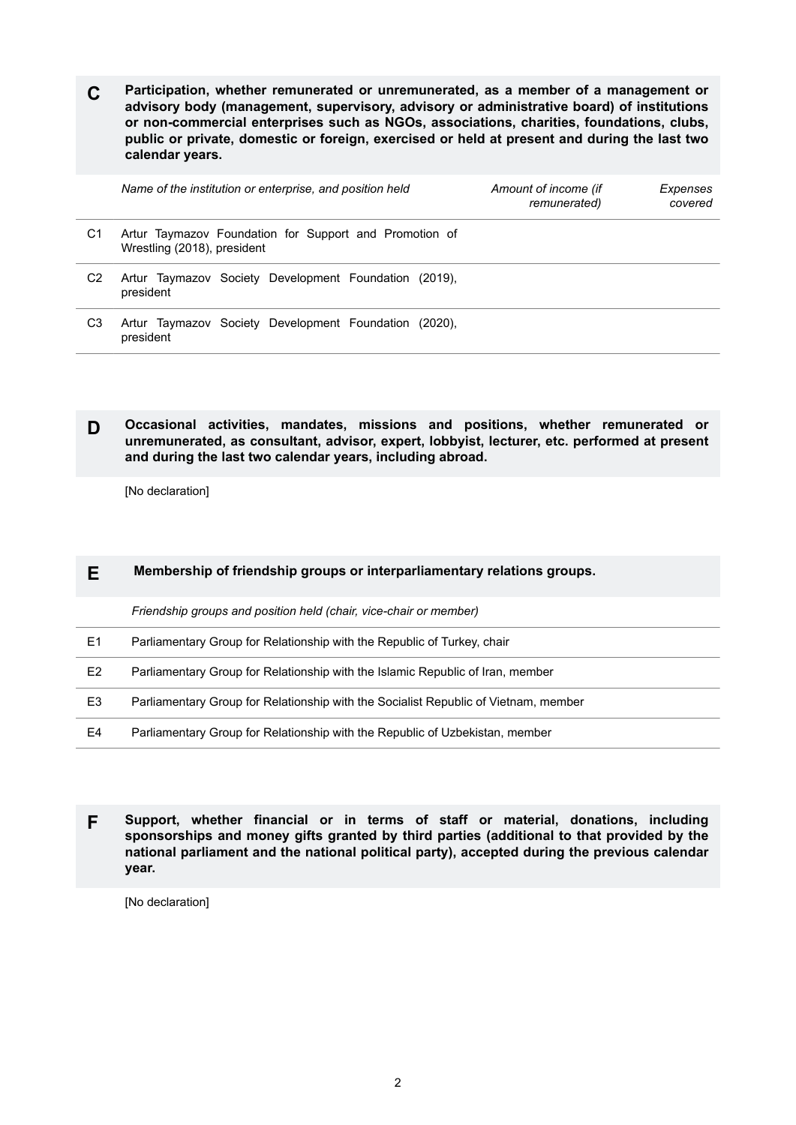**C Participation, whether remunerated or unremunerated, as a member of a management or advisory body (management, supervisory, advisory or administrative board) of institutions or non-commercial enterprises such as NGOs, associations, charities, foundations, clubs, public or private, domestic or foreign, exercised or held at present and during the last two calendar years.**

|                | Name of the institution or enterprise, and position held                              | Amount of income (if<br>remunerated) | Expenses<br>covered |
|----------------|---------------------------------------------------------------------------------------|--------------------------------------|---------------------|
| C1             | Artur Taymazov Foundation for Support and Promotion of<br>Wrestling (2018), president |                                      |                     |
| C <sub>2</sub> | Artur Taymazov Society Development Foundation (2019),<br>president                    |                                      |                     |
| C3             | Artur Taymazov Society Development Foundation (2020).<br>president                    |                                      |                     |

**D Occasional activities, mandates, missions and positions, whether remunerated or unremunerated, as consultant, advisor, expert, lobbyist, lecturer, etc. performed at present and during the last two calendar years, including abroad.**

[No declaration]

## **E Membership of friendship groups or interparliamentary relations groups.**

*Friendship groups and position held (chair, vice-chair or member)*

| E1             | Parliamentary Group for Relationship with the Republic of Turkey, chair             |
|----------------|-------------------------------------------------------------------------------------|
| E <sub>2</sub> | Parliamentary Group for Relationship with the Islamic Republic of Iran, member      |
| E3             | Parliamentary Group for Relationship with the Socialist Republic of Vietnam, member |
| E4             | Parliamentary Group for Relationship with the Republic of Uzbekistan, member        |

**F Support, whether financial or in terms of staff or material, donations, including sponsorships and money gifts granted by third parties (additional to that provided by the national parliament and the national political party), accepted during the previous calendar year.**

[No declaration]